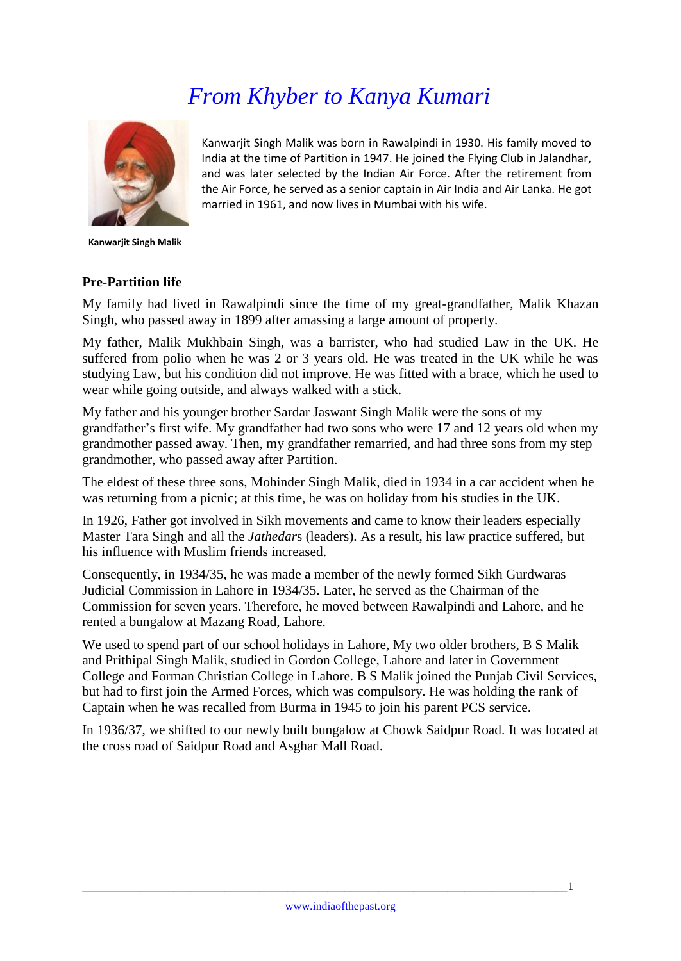# *From Khyber to Kanya Kumari*

Kanwarjit Singh Malik was born in Rawalpindi in 1930. His family moved to India at the time of Partition in 1947. He joined the Flying Club in Jalandhar, and was later selected by the Indian Air Force. After the retirement from the Air Force, he served as a senior captain in Air India and Air Lanka. He got



**Kanwarjit Singh Malik**

### **Pre-Partition life**

My family had lived in Rawalpindi since the time of my great-grandfather, Malik Khazan Singh, who passed away in 1899 after amassing a large amount of property.

married in 1961, and now lives in Mumbai with his wife.

My father, Malik Mukhbain Singh, was a barrister, who had studied Law in the UK. He suffered from polio when he was 2 or 3 years old. He was treated in the UK while he was studying Law, but his condition did not improve. He was fitted with a brace, which he used to wear while going outside, and always walked with a stick.

My father and his younger brother Sardar Jaswant Singh Malik were the sons of my grandfather's first wife. My grandfather had two sons who were 17 and 12 years old when my grandmother passed away. Then, my grandfather remarried, and had three sons from my step grandmother, who passed away after Partition.

The eldest of these three sons, Mohinder Singh Malik, died in 1934 in a car accident when he was returning from a picnic; at this time, he was on holiday from his studies in the UK.

In 1926, Father got involved in Sikh movements and came to know their leaders especially Master Tara Singh and all the *Jathedar*s (leaders). As a result, his law practice suffered, but his influence with Muslim friends increased.

Consequently, in 1934/35, he was made a member of the newly formed Sikh Gurdwaras Judicial Commission in Lahore in 1934/35. Later, he served as the Chairman of the Commission for seven years. Therefore, he moved between Rawalpindi and Lahore, and he rented a bungalow at Mazang Road, Lahore.

We used to spend part of our school holidays in Lahore, My two older brothers, B S Malik and Prithipal Singh Malik, studied in Gordon College, Lahore and later in Government College and Forman Christian College in Lahore. B S Malik joined the Punjab Civil Services, but had to first join the Armed Forces, which was compulsory. He was holding the rank of Captain when he was recalled from Burma in 1945 to join his parent PCS service.

In 1936/37, we shifted to our newly built bungalow at Chowk Saidpur Road. It was located at the cross road of Saidpur Road and Asghar Mall Road.

\_\_\_\_\_\_\_\_\_\_\_\_\_\_\_\_\_\_\_\_\_\_\_\_\_\_\_\_\_\_\_\_\_\_\_\_\_\_\_\_\_\_\_\_\_\_\_\_\_\_\_\_\_\_\_\_\_\_\_\_\_\_\_\_\_\_\_\_\_\_\_\_\_\_\_\_\_\_\_\_\_\_\_\_\_1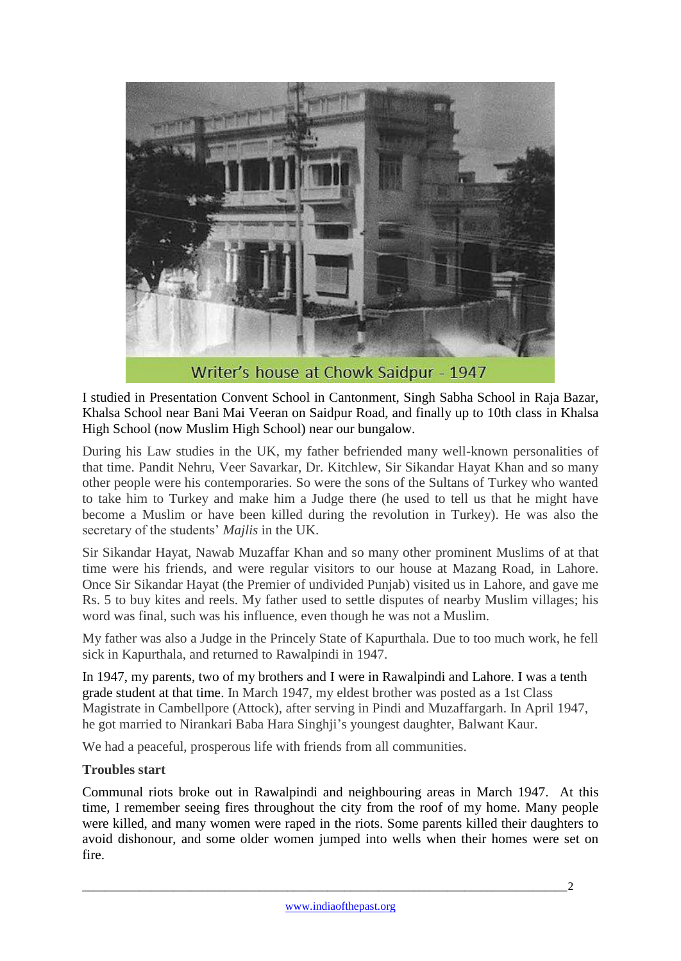

I studied in Presentation Convent School in Cantonment, Singh Sabha School in Raja Bazar, Khalsa School near Bani Mai Veeran on Saidpur Road, and finally up to 10th class in Khalsa High School (now Muslim High School) near our bungalow.

During his Law studies in the UK, my father befriended many well-known personalities of that time. Pandit Nehru, Veer Savarkar, Dr. Kitchlew, Sir Sikandar Hayat Khan and so many other people were his contemporaries. So were the sons of the Sultans of Turkey who wanted to take him to Turkey and make him a Judge there (he used to tell us that he might have become a Muslim or have been killed during the revolution in Turkey). He was also the secretary of the students' *Majlis* in the UK.

Sir Sikandar Hayat, Nawab Muzaffar Khan and so many other prominent Muslims of at that time were his friends, and were regular visitors to our house at Mazang Road, in Lahore. Once Sir Sikandar Hayat (the Premier of undivided Punjab) visited us in Lahore, and gave me Rs. 5 to buy kites and reels. My father used to settle disputes of nearby Muslim villages; his word was final, such was his influence, even though he was not a Muslim.

My father was also a Judge in the Princely State of Kapurthala. Due to too much work, he fell sick in Kapurthala, and returned to Rawalpindi in 1947.

In 1947, my parents, two of my brothers and I were in Rawalpindi and Lahore. I was a tenth grade student at that time. In March 1947, my eldest brother was posted as a 1st Class Magistrate in Cambellpore (Attock), after serving in Pindi and Muzaffargarh. In April 1947, he got married to Nirankari Baba Hara Singhji's youngest daughter, Balwant Kaur.

We had a peaceful, prosperous life with friends from all communities.

# **Troubles start**

Communal riots broke out in Rawalpindi and neighbouring areas in March 1947. At this time, I remember seeing fires throughout the city from the roof of my home. Many people were killed, and many women were raped in the riots. Some parents killed their daughters to avoid dishonour, and some older women jumped into wells when their homes were set on fire.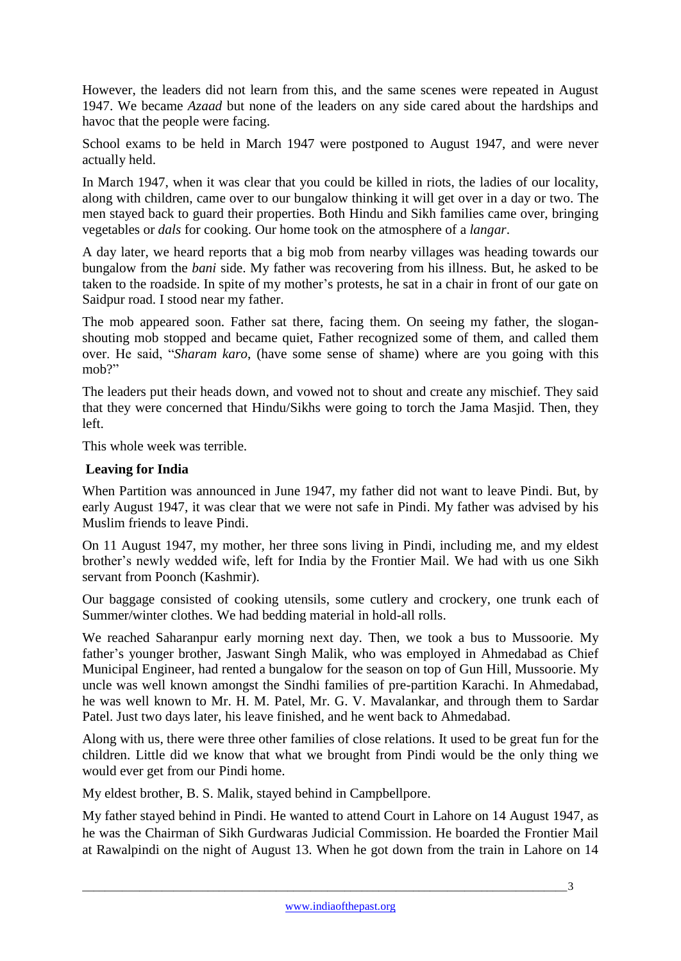However, the leaders did not learn from this, and the same scenes were repeated in August 1947. We became *Azaad* but none of the leaders on any side cared about the hardships and havoc that the people were facing.

School exams to be held in March 1947 were postponed to August 1947, and were never actually held.

In March 1947, when it was clear that you could be killed in riots, the ladies of our locality, along with children, came over to our bungalow thinking it will get over in a day or two. The men stayed back to guard their properties. Both Hindu and Sikh families came over, bringing vegetables or *dals* for cooking. Our home took on the atmosphere of a *langar*.

A day later, we heard reports that a big mob from nearby villages was heading towards our bungalow from the *bani* side. My father was recovering from his illness. But, he asked to be taken to the roadside. In spite of my mother's protests, he sat in a chair in front of our gate on Saidpur road. I stood near my father.

The mob appeared soon. Father sat there, facing them. On seeing my father, the sloganshouting mob stopped and became quiet, Father recognized some of them, and called them over. He said, "*Sharam karo*, (have some sense of shame) where are you going with this mob?"

The leaders put their heads down, and vowed not to shout and create any mischief. They said that they were concerned that Hindu/Sikhs were going to torch the Jama Masjid. Then, they left.

This whole week was terrible.

#### **Leaving for India**

When Partition was announced in June 1947, my father did not want to leave Pindi. But, by early August 1947, it was clear that we were not safe in Pindi. My father was advised by his Muslim friends to leave Pindi.

On 11 August 1947, my mother, her three sons living in Pindi, including me, and my eldest brother's newly wedded wife, left for India by the Frontier Mail. We had with us one Sikh servant from Poonch (Kashmir).

Our baggage consisted of cooking utensils, some cutlery and crockery, one trunk each of Summer/winter clothes. We had bedding material in hold-all rolls.

We reached Saharanpur early morning next day. Then, we took a bus to Mussoorie. My father's younger brother, Jaswant Singh Malik, who was employed in Ahmedabad as Chief Municipal Engineer, had rented a bungalow for the season on top of Gun Hill, Mussoorie. My uncle was well known amongst the Sindhi families of pre-partition Karachi. In Ahmedabad, he was well known to Mr. H. M. Patel, Mr. G. V. Mavalankar, and through them to Sardar Patel. Just two days later, his leave finished, and he went back to Ahmedabad.

Along with us, there were three other families of close relations. It used to be great fun for the children. Little did we know that what we brought from Pindi would be the only thing we would ever get from our Pindi home.

My eldest brother, B. S. Malik, stayed behind in Campbellpore.

My father stayed behind in Pindi. He wanted to attend Court in Lahore on 14 August 1947, as he was the Chairman of Sikh Gurdwaras Judicial Commission. He boarded the Frontier Mail at Rawalpindi on the night of August 13. When he got down from the train in Lahore on 14